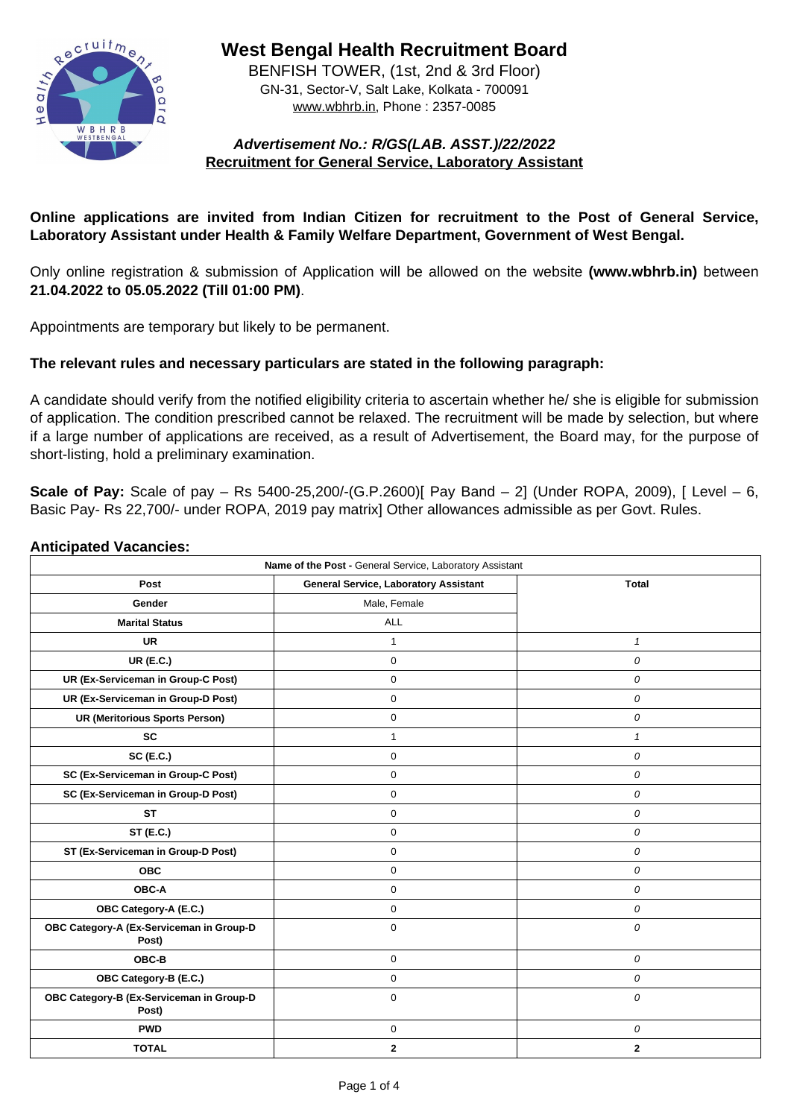

**West Bengal Health Recruitment Board** BENFISH TOWER, (1st, 2nd & 3rd Floor)

GN-31, Sector-V, Salt Lake, Kolkata - 700091 www.wbhrb.in, Phone : 2357-0085

# **Advertisement No.: R/GS(LAB. ASST.)/22/2022 Recruitment for General Service, Laboratory Assistant**

## **Online applications are invited from Indian Citizen for recruitment to the Post of General Service, Laboratory Assistant under Health & Family Welfare Department, Government of West Bengal.**

Only online registration & submission of Application will be allowed on the website **(www.wbhrb.in)** between **21.04.2022 to 05.05.2022 (Till 01:00 PM)**.

Appointments are temporary but likely to be permanent.

## **The relevant rules and necessary particulars are stated in the following paragraph:**

A candidate should verify from the notified eligibility criteria to ascertain whether he/ she is eligible for submission of application. The condition prescribed cannot be relaxed. The recruitment will be made by selection, but where if a large number of applications are received, as a result of Advertisement, the Board may, for the purpose of short-listing, hold a preliminary examination.

**Scale of Pay:** Scale of pay – Rs 5400-25,200/-(G.P.2600)[ Pay Band – 2] (Under ROPA, 2009), [ Level – 6, Basic Pay- Rs 22,700/- under ROPA, 2019 pay matrix] Other allowances admissible as per Govt. Rules.

#### **Anticipated Vacancies:**

| Name of the Post - General Service, Laboratory Assistant    |                |                  |  |  |  |
|-------------------------------------------------------------|----------------|------------------|--|--|--|
| <b>General Service, Laboratory Assistant</b><br><b>Post</b> |                | <b>Total</b>     |  |  |  |
| <b>Gender</b>                                               | Male, Female   |                  |  |  |  |
| <b>Marital Status</b>                                       | <b>ALL</b>     |                  |  |  |  |
| <b>UR</b>                                                   |                |                  |  |  |  |
| <b>UR (E.C.)</b>                                            | $\overline{0}$ | 0                |  |  |  |
| <b>UR (Ex-Serviceman in Group-C Post)</b>                   | $\overline{0}$ | 0                |  |  |  |
| <b>UR (Ex-Serviceman in Group-D Post)</b>                   | $\overline{0}$ | $\bm{O}$         |  |  |  |
| <b>UR (Meritorious Sports Person)</b>                       | $\Omega$       | $\overline{O}$   |  |  |  |
| <b>SC</b>                                                   |                |                  |  |  |  |
| <b>SC (E.C.)</b>                                            | $\overline{0}$ | 0                |  |  |  |
| <b>SC (Ex-Serviceman in Group-C Post)</b>                   | $\Omega$       | 0                |  |  |  |
| <b>SC (Ex-Serviceman in Group-D Post)</b>                   | $\overline{0}$ | $\bm{O}$         |  |  |  |
| <b>ST</b>                                                   | $\Omega$       | 0                |  |  |  |
| <b>ST (E.C.)</b>                                            | $\overline{0}$ | 0                |  |  |  |
| <b>ST (Ex-Serviceman in Group-D Post)</b>                   | $\overline{0}$ | $\bm{O}$         |  |  |  |
| <b>OBC</b>                                                  | $\overline{0}$ | $\bm{O}$         |  |  |  |
| <b>OBC-A</b>                                                | $\overline{0}$ | $\bm{O}$         |  |  |  |
| <b>OBC Category-A (E.C.)</b>                                | $\overline{0}$ | $\boldsymbol{O}$ |  |  |  |
| OBC Category-A (Ex-Serviceman in Group-D<br>Post)           | $\overline{0}$ | $\overline{O}$   |  |  |  |
| <b>OBC-B</b>                                                | $\overline{0}$ | $\bm{O}$         |  |  |  |
| <b>OBC Category-B (E.C.)</b>                                | $\overline{0}$ | 0                |  |  |  |
| OBC Category-B (Ex-Serviceman in Group-D<br>Post)           | $\overline{0}$ | $\overline{O}$   |  |  |  |
| <b>PWD</b>                                                  | $\overline{0}$ | $\boldsymbol{O}$ |  |  |  |
| <b>TOTAL</b>                                                | $\mathbf{2}$   | 2 <sup>1</sup>   |  |  |  |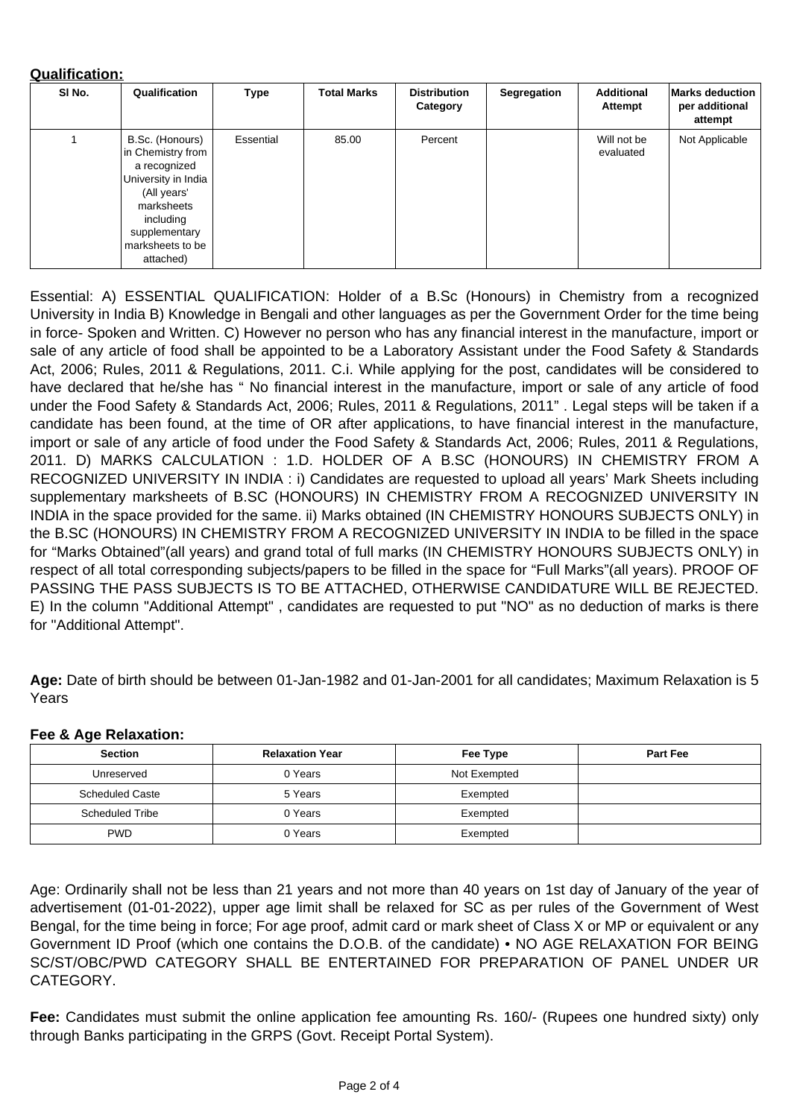#### **Qualification:**

| SI No. | Qualification                                                                                                                                                           | <b>Type</b>      | <b>Total Marks</b> | <b>Distribution</b><br>Category | <b>Segregation</b> | <b>Additional</b><br><b>Attempt</b> | <b>Marks deduction</b><br>per additional<br>attempt |
|--------|-------------------------------------------------------------------------------------------------------------------------------------------------------------------------|------------------|--------------------|---------------------------------|--------------------|-------------------------------------|-----------------------------------------------------|
|        | B.Sc. (Honours)<br>in Chemistry from<br>a recognized<br>University in India<br>(All years'<br>marksheets<br>including<br>supplementary<br>marksheets to be<br>attached) | <b>Essential</b> | 85.00              | Percent                         |                    | Will not be<br>evaluated            | Not Applicable                                      |

Essential: A) ESSENTIAL QUALIFICATION: Holder of a B.Sc (Honours) in Chemistry from a recognized University in India B) Knowledge in Bengali and other languages as per the Government Order for the time being in force- Spoken and Written. C) However no person who has any financial interest in the manufacture, import or sale of any article of food shall be appointed to be a Laboratory Assistant under the Food Safety & Standards Act, 2006; Rules, 2011 & Regulations, 2011. C.i. While applying for the post, candidates will be considered to have declared that he/she has " No financial interest in the manufacture, import or sale of any article of food under the Food Safety & Standards Act, 2006; Rules, 2011 & Regulations, 2011" . Legal steps will be taken if a candidate has been found, at the time of OR after applications, to have financial interest in the manufacture, import or sale of any article of food under the Food Safety & Standards Act, 2006; Rules, 2011 & Regulations, 2011. D) MARKS CALCULATION : 1.D. HOLDER OF A B.SC (HONOURS) IN CHEMISTRY FROM A RECOGNIZED UNIVERSITY IN INDIA : i) Candidates are requested to upload all years' Mark Sheets including supplementary marksheets of B.SC (HONOURS) IN CHEMISTRY FROM A RECOGNIZED UNIVERSITY IN INDIA in the space provided for the same. ii) Marks obtained (IN CHEMISTRY HONOURS SUBJECTS ONLY) in the B.SC (HONOURS) IN CHEMISTRY FROM A RECOGNIZED UNIVERSITY IN INDIA to be filled in the space for "Marks Obtained"(all years) and grand total of full marks (IN CHEMISTRY HONOURS SUBJECTS ONLY) in respect of all total corresponding subjects/papers to be filled in the space for "Full Marks"(all years). PROOF OF PASSING THE PASS SUBJECTS IS TO BE ATTACHED, OTHERWISE CANDIDATURE WILL BE REJECTED.

E) In the column "Additional Attempt" , candidates are requested to put "NO" as no deduction of marks is there for "Additional Attempt".

**Age:** Date of birth should be between 01-Jan-1982 and 01-Jan-2001 for all candidates; Maximum Relaxation is 5 Years

#### **Fee & Age Relaxation:**

| <b>Section</b>         | <b>Relaxation Year</b> | Fee Type     | <b>Part Fee</b> |
|------------------------|------------------------|--------------|-----------------|
| Unreserved             | 0 Years                | Not Exempted |                 |
| <b>Scheduled Caste</b> | 5 Years                | Exempted     |                 |
| <b>Scheduled Tribe</b> | 0 Years                | Exempted     |                 |
| <b>PWD</b>             | 0 Years                | Exempted     |                 |

Age: Ordinarily shall not be less than 21 years and not more than 40 years on 1st day of January of the year of advertisement (01-01-2022), upper age limit shall be relaxed for SC as per rules of the Government of West Bengal, for the time being in force; For age proof, admit card or mark sheet of Class X or MP or equivalent or any Government ID Proof (which one contains the D.O.B. of the candidate) • NO AGE RELAXATION FOR BEING SC/ST/OBC/PWD CATEGORY SHALL BE ENTERTAINED FOR PREPARATION OF PANEL UNDER UR CATEGORY.

**Fee:** Candidates must submit the online application fee amounting Rs. 160/- (Rupees one hundred sixty) only through Banks participating in the GRPS (Govt. Receipt Portal System).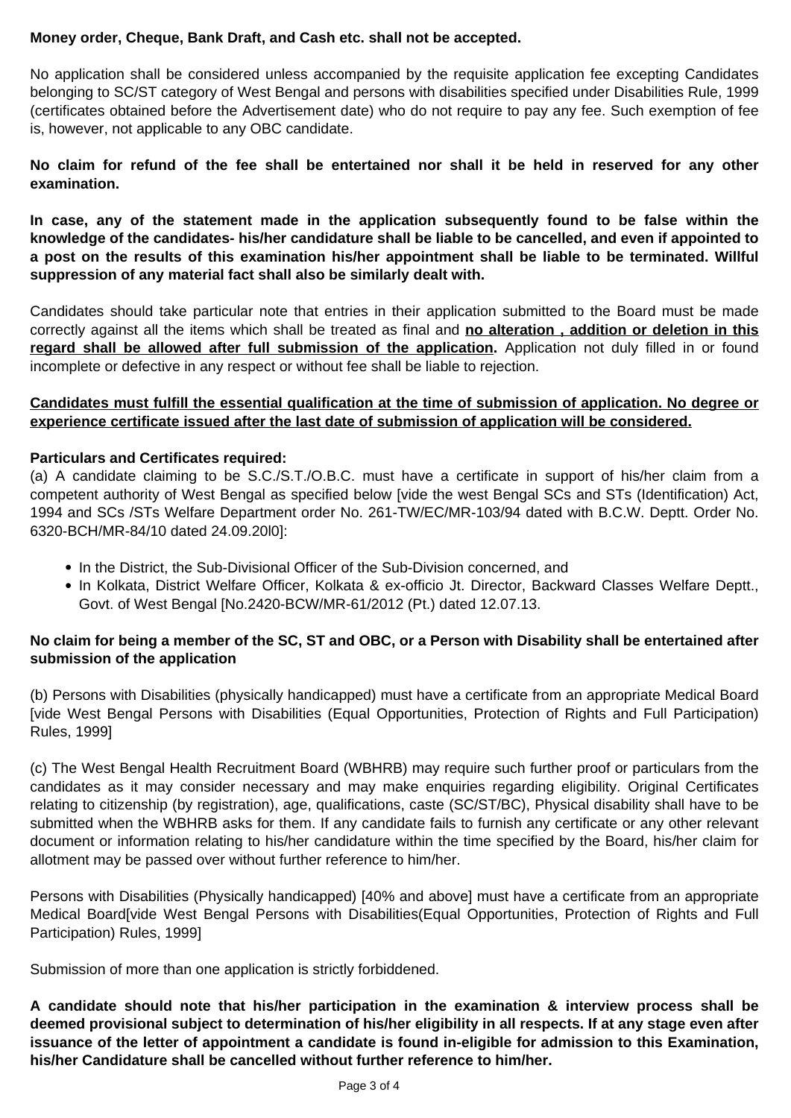### **Money order, Cheque, Bank Draft, and Cash etc. shall not be accepted.**

No application shall be considered unless accompanied by the requisite application fee excepting Candidates belonging to SC/ST category of West Bengal and persons with disabilities specified under Disabilities Rule, 1999 (certificates obtained before the Advertisement date) who do not require to pay any fee. Such exemption of fee is, however, not applicable to any OBC candidate.

**No claim for refund of the fee shall be entertained nor shall it be held in reserved for any other examination.**

**In case, any of the statement made in the application subsequently found to be false within the knowledge of the candidates- his/her candidature shall be liable to be cancelled, and even if appointed to a post on the results of this examination his/her appointment shall be liable to be terminated. Willful suppression of any material fact shall also be similarly dealt with.**

Candidates should take particular note that entries in their application submitted to the Board must be made correctly against all the items which shall be treated as final and **no alteration , addition or deletion in this** regard shall be allowed after full submission of the application. Application not duly filled in or found incomplete or defective in any respect or without fee shall be liable to rejection.

### **Candidates must fulfill the essential qualification at the time of submission of application. No degree or experience certificate issued after the last date of submission of application will be considered.**

#### **Particulars and Certificates required:**

(a) A candidate claiming to be S.C./S.T./O.B.C. must have a certificate in support of his/her claim from a competent authority of West Bengal as specified below [vide the west Bengal SCs and STs (Identification) Act, 1994 and SCs /STs Welfare Department order No. 261-TW/EC/MR-103/94 dated with B.C.W. Deptt. Order No. 6320-BCH/MR-84/10 dated 24.09.20l0]:

- In the District, the Sub-Divisional Officer of the Sub-Division concerned, and
- In Kolkata, District Welfare Officer, Kolkata & ex-officio Jt. Director, Backward Classes Welfare Deptt.,

Govt. of West Bengal [No.2420-BCW/MR-61/2012 (Pt.) dated 12.07.13.

## **No claim for being a member of the SC, ST and OBC, or a Person with Disability shall be entertained after submission of the application**

(b) Persons with Disabilities (physically handicapped) must have a certificate from an appropriate Medical Board [vide West Bengal Persons with Disabilities (Equal Opportunities, Protection of Rights and Full Participation) Rules, 1999]

(c) The West Bengal Health Recruitment Board (WBHRB) may require such further proof or particulars from the candidates as it may consider necessary and may make enquiries regarding eligibility. Original Certificates relating to citizenship (by registration), age, qualifications, caste (SC/ST/BC), Physical disability shall have to be submitted when the WBHRB asks for them. If any candidate fails to furnish any certificate or any other relevant document or information relating to his/her candidature within the time specified by the Board, his/her claim for allotment may be passed over without further reference to him/her.

Persons with Disabilities (Physically handicapped) [40% and above] must have a certificate from an appropriate Medical Board[vide West Bengal Persons with Disabilities(Equal Opportunities, Protection of Rights and Full Participation) Rules, 1999]

Submission of more than one application is strictly forbiddened.

**A candidate should note that his/her participation in the examination & interview process shall be deemed provisional subject to determination of his/her eligibility in all respects. If at any stage even after issuance of the letter of appointment a candidate is found in-eligible for admission to this Examination, his/her Candidature shall be cancelled without further reference to him/her.**